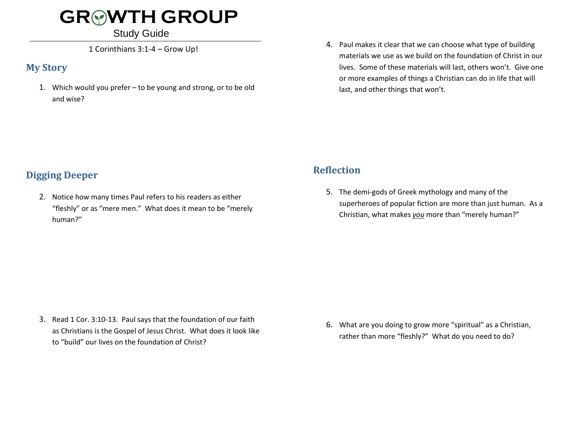## **GR WTH GROUP**

#### Study Guide

1 Corinthians 3:1-4 – Grow Up!

#### **My Story**

1. Which would you prefer – to be young and strong, or to be old and wise?

4. Paul makes it clear that we can choose what type of building materials we use as we build on the foundation of Christ in our lives. Some of these materials will last, others won't. Give one or more examples of things a Christian can do in life that will last, and other things that won't.

### **Digging Deeper**

2. Notice how many times Paul refers to his readers as either "fleshly" or as "mere men." What does it mean to be "merely human?"

### **Reflection**

5. The demi-gods of Greek mythology and many of the superheroes of popular fiction are more than just human. As a Christian, what makes *you* more than "merely human?"

3. Read 1 Cor. 3:10-13. Paul says that the foundation of our faith as Christians is the Gospel of Jesus Christ. What does it look like to "build" our lives on the foundation of Christ?

6. What are you doing to grow more "spiritual" as a Christian, rather than more "fleshly?" What do you need to do?